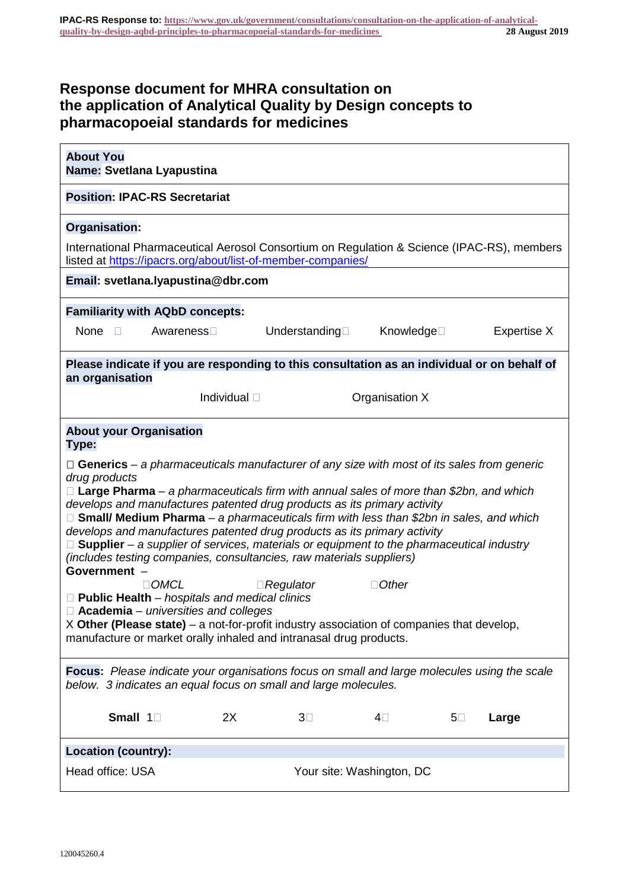# **Response document for MHRA consultation on the application of Analytical Quality by Design concepts to pharmacopoeial standards for medicines**

| <b>About You</b><br>Name: Svetlana Lyapustina                                                                                                                                                                                                                                                                                                                                                                                                                                                                                                                                                                                                                                                                                                                                                                                                                                                                                                                                                 |                      |                           |                |            |             |
|-----------------------------------------------------------------------------------------------------------------------------------------------------------------------------------------------------------------------------------------------------------------------------------------------------------------------------------------------------------------------------------------------------------------------------------------------------------------------------------------------------------------------------------------------------------------------------------------------------------------------------------------------------------------------------------------------------------------------------------------------------------------------------------------------------------------------------------------------------------------------------------------------------------------------------------------------------------------------------------------------|----------------------|---------------------------|----------------|------------|-------------|
| <b>Position: IPAC-RS Secretariat</b>                                                                                                                                                                                                                                                                                                                                                                                                                                                                                                                                                                                                                                                                                                                                                                                                                                                                                                                                                          |                      |                           |                |            |             |
| Organisation:                                                                                                                                                                                                                                                                                                                                                                                                                                                                                                                                                                                                                                                                                                                                                                                                                                                                                                                                                                                 |                      |                           |                |            |             |
| International Pharmaceutical Aerosol Consortium on Regulation & Science (IPAC-RS), members<br>listed at https://ipacrs.org/about/list-of-member-companies/                                                                                                                                                                                                                                                                                                                                                                                                                                                                                                                                                                                                                                                                                                                                                                                                                                    |                      |                           |                |            |             |
| Email: svetlana.lyapustina@dbr.com                                                                                                                                                                                                                                                                                                                                                                                                                                                                                                                                                                                                                                                                                                                                                                                                                                                                                                                                                            |                      |                           |                |            |             |
| <b>Familiarity with AQbD concepts:</b>                                                                                                                                                                                                                                                                                                                                                                                                                                                                                                                                                                                                                                                                                                                                                                                                                                                                                                                                                        |                      |                           |                |            |             |
| None $\square$                                                                                                                                                                                                                                                                                                                                                                                                                                                                                                                                                                                                                                                                                                                                                                                                                                                                                                                                                                                | Awareness□           | Understanding             | Knowledge□     |            | Expertise X |
| Please indicate if you are responding to this consultation as an individual or on behalf of<br>an organisation                                                                                                                                                                                                                                                                                                                                                                                                                                                                                                                                                                                                                                                                                                                                                                                                                                                                                |                      |                           |                |            |             |
|                                                                                                                                                                                                                                                                                                                                                                                                                                                                                                                                                                                                                                                                                                                                                                                                                                                                                                                                                                                               | Individual $\square$ |                           | Organisation X |            |             |
| <b>About your Organisation</b><br>Type:                                                                                                                                                                                                                                                                                                                                                                                                                                                                                                                                                                                                                                                                                                                                                                                                                                                                                                                                                       |                      |                           |                |            |             |
| $\Box$ Generics – a pharmaceuticals manufacturer of any size with most of its sales from generic<br>drug products<br>$\Box$ Large Pharma – a pharmaceuticals firm with annual sales of more than \$2bn, and which<br>develops and manufactures patented drug products as its primary activity<br>□ Small/ Medium Pharma - a pharmaceuticals firm with less than \$2bn in sales, and which<br>develops and manufactures patented drug products as its primary activity<br>$\Box$ Supplier – a supplier of services, materials or equipment to the pharmaceutical industry<br>(includes testing companies, consultancies, raw materials suppliers)<br>Government -<br>$\Box$ OMCL<br>$\Box$ Other<br>$\Box$ Regulator<br>$\Box$ Public Health – hospitals and medical clinics<br>$\Box$ Academia – universities and colleges<br>X Other (Please state) – a not-for-profit industry association of companies that develop,<br>manufacture or market orally inhaled and intranasal drug products. |                      |                           |                |            |             |
| <b>Focus:</b> Please indicate your organisations focus on small and large molecules using the scale<br>below. 3 indicates an equal focus on small and large molecules.                                                                                                                                                                                                                                                                                                                                                                                                                                                                                                                                                                                                                                                                                                                                                                                                                        |                      |                           |                |            |             |
| Small 1                                                                                                                                                                                                                                                                                                                                                                                                                                                                                                                                                                                                                                                                                                                                                                                                                                                                                                                                                                                       | 2X                   | $3\square$                | 4⊡             | $5\square$ | Large       |
| <b>Location (country):</b>                                                                                                                                                                                                                                                                                                                                                                                                                                                                                                                                                                                                                                                                                                                                                                                                                                                                                                                                                                    |                      |                           |                |            |             |
| Head office: USA                                                                                                                                                                                                                                                                                                                                                                                                                                                                                                                                                                                                                                                                                                                                                                                                                                                                                                                                                                              |                      | Your site: Washington, DC |                |            |             |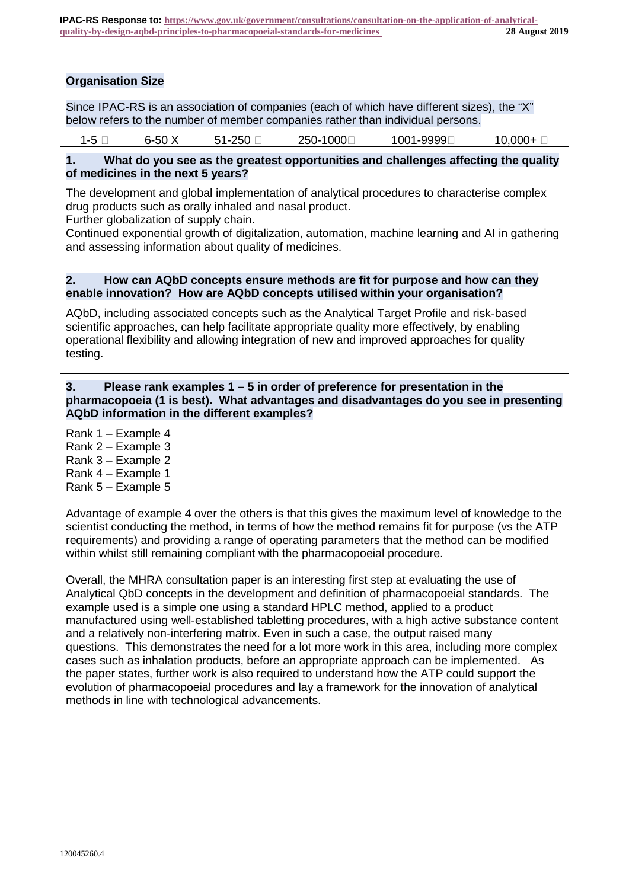# **Organisation Size**

Since IPAC-RS is an association of companies (each of which have different sizes), the "X" below refers to the number of member companies rather than individual persons.

 $1-5$   $\Box$  6-50 X 51-250  $\Box$  250-1000 $\Box$  1001-9999 $\Box$  10,000+  $\Box$ 

# **1. What do you see as the greatest opportunities and challenges affecting the quality of medicines in the next 5 years?**

The development and global implementation of analytical procedures to characterise complex drug products such as orally inhaled and nasal product.

Further globalization of supply chain.

Continued exponential growth of digitalization, automation, machine learning and AI in gathering and assessing information about quality of medicines.

#### **2. How can AQbD concepts ensure methods are fit for purpose and how can they enable innovation? How are AQbD concepts utilised within your organisation?**

AQbD, including associated concepts such as the Analytical Target Profile and risk-based scientific approaches, can help facilitate appropriate quality more effectively, by enabling operational flexibility and allowing integration of new and improved approaches for quality testing.

## **3. Please rank examples 1 – 5 in order of preference for presentation in the pharmacopoeia (1 is best). What advantages and disadvantages do you see in presenting AQbD information in the different examples?**

Rank 1 – Example 4

- Rank 2 Example 3
- Rank 3 Example 2
- Rank 4 Example 1
- Rank 5 Example 5

Advantage of example 4 over the others is that this gives the maximum level of knowledge to the scientist conducting the method, in terms of how the method remains fit for purpose (vs the ATP requirements) and providing a range of operating parameters that the method can be modified within whilst still remaining compliant with the pharmacopoeial procedure.

Overall, the MHRA consultation paper is an interesting first step at evaluating the use of Analytical QbD concepts in the development and definition of pharmacopoeial standards. The example used is a simple one using a standard HPLC method, applied to a product manufactured using well-established tabletting procedures, with a high active substance content and a relatively non-interfering matrix. Even in such a case, the output raised many questions. This demonstrates the need for a lot more work in this area, including more complex cases such as inhalation products, before an appropriate approach can be implemented. As the paper states, further work is also required to understand how the ATP could support the evolution of pharmacopoeial procedures and lay a framework for the innovation of analytical methods in line with technological advancements.